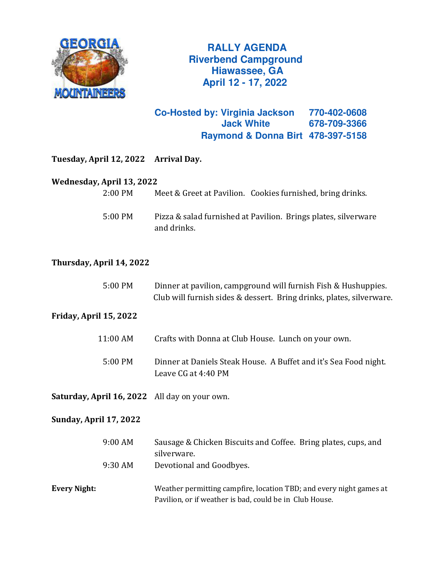

 **RALLY AGENDA Riverbend Campground Hiawassee, GA April 12 - 17, 2022**

**Co-Hosted by: Virginia Jackson 770-402-0608 Jack White 678-709-3366 Raymond & Donna Birt 478-397-5158**

| Tuesday, April 12, 2022                       | <b>Arrival Day.</b>                                                                                                                    |
|-----------------------------------------------|----------------------------------------------------------------------------------------------------------------------------------------|
| Wednesday, April 13, 2022                     |                                                                                                                                        |
| 2:00 PM                                       | Meet & Greet at Pavilion. Cookies furnished, bring drinks.                                                                             |
| 5:00 PM                                       | Pizza & salad furnished at Pavilion. Brings plates, silverware<br>and drinks.                                                          |
| Thursday, April 14, 2022                      |                                                                                                                                        |
| 5:00 PM                                       | Dinner at pavilion, campground will furnish Fish & Hushuppies.<br>Club will furnish sides & dessert. Bring drinks, plates, silverware. |
| Friday, April 15, 2022                        |                                                                                                                                        |
| 11:00 AM                                      | Crafts with Donna at Club House. Lunch on your own.                                                                                    |
| 5:00 PM                                       | Dinner at Daniels Steak House. A Buffet and it's Sea Food night.<br>Leave CG at 4:40 PM                                                |
| Saturday, April 16, 2022 All day on your own. |                                                                                                                                        |
| <b>Sunday, April 17, 2022</b>                 |                                                                                                                                        |
| 9:00 AM                                       | Sausage & Chicken Biscuits and Coffee. Bring plates, cups, and<br>silverware.                                                          |
| 9:30 AM                                       | Devotional and Goodbyes.                                                                                                               |
| <b>Every Night:</b>                           | Weather permitting campfire, location TBD; and every night games at<br>Pavilion, or if weather is bad, could be in Club House.         |